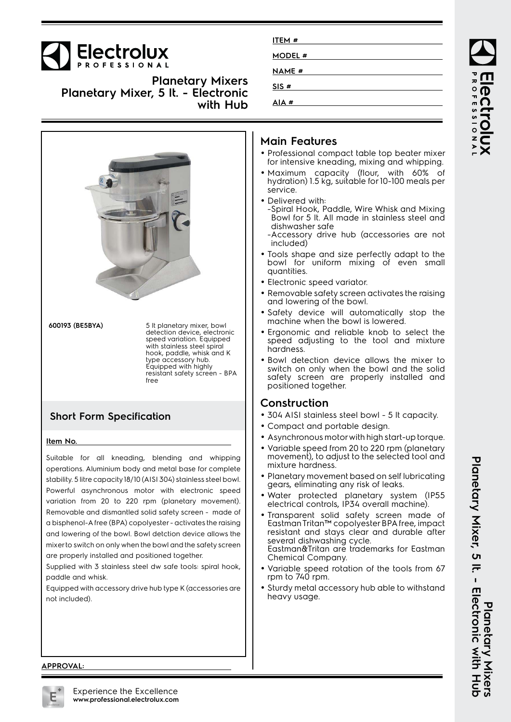

**Planetary Mixers Planetary Mixer, 5 lt. - Electronic with Hub**



## **ITEM # MODEL # NAME # SIS # AIA #**

#### **Main Features**

- Professional compact table top beater mixer for intensive kneading, mixing and whipping.
- Maximum capacity (flour, with 60% of hydration) 1.5 kg, suitable for 10-100 meals per service.
- Delivered with:
- -Spiral Hook, Paddle, Wire Whisk and Mixing Bowl for 5 lt. All made in stainless steel and dishwasher safe
- -Accessory drive hub (accessories are not included)
- Tools shape and size perfectly adapt to the bowl for uniform mixing of even small quantities.
- Electronic speed variator.
- Removable safety screen activates the raising and lowering of the bowl.
- Safety device will automatically stop the machine when the bowl is lowered.
- Ergonomic and reliable knob to select the speed adjusting to the tool and mixture hardness.
- Bowl detection device allows the mixer to switch on only when the bowl and the solid safety screen are properly installed and positioned together.

### **Construction**

- 304 AISI stainless steel bowl 5 lt capacity.
- Compact and portable design.
- Asynchronous motor with high start-up torque.
- Variable speed from 20 to 220 rpm (planetary movement), to adjust to the selected tool and mixture hardness.
- Planetary movement based on self lubricating gears, eliminating any risk of leaks.
- Water protected planetary system (IP55 electrical controls, IP34 overall machine).
- Transparent solid safety screen made of Eastman Tritan™ copolyester BPA free, impact resistant and stays clear and durable after several dishwashing cycle. Eastman&Tritan are trademarks for Eastman Chemical Company.
- Variable speed rotation of the tools from 67 rpm to 740 rpm.
- Sturdy metal accessory hub able to withstand heavy usage.

**APPROVAL:**

Planetary Mixer, 5 It. - Electronic with Hub<br>Planetary Mixer, 5 It. - Electronic with Hub **Planetary Mixer, 5 lt. - Electronic with Hub Planetary Mixers**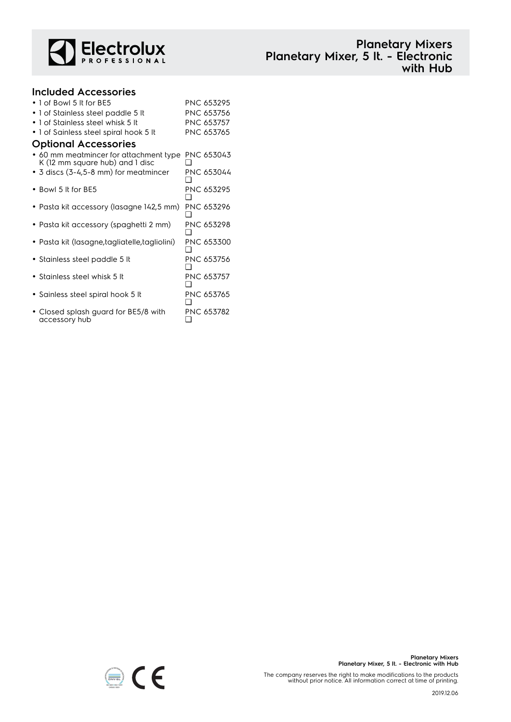

| <b>Planetary Mixers</b>             |  |
|-------------------------------------|--|
| Planetary Mixer, 5 lt. - Electronic |  |
| with Hub                            |  |

| <b>Included Accessories</b>                                                       |                   |
|-----------------------------------------------------------------------------------|-------------------|
| $\bullet$ 1 of Bowl 5 It for BE5                                                  | PNC 653295        |
| • 1 of Stainless steel paddle 5 lt                                                | PNC 653756        |
| • 1 of Stainless steel whisk 5 lt                                                 | PNC 653757        |
| • 1 of Sainless steel spiral hook 5 It                                            | PNC 653765        |
| <b>Optional Accessories</b>                                                       |                   |
| $\bullet$ 60 mm meatmincer for attachment type<br>K (12 mm square hub) and 1 disc | PNC 653043        |
| • 3 discs (3-4,5-8 mm) for meatmincer                                             | PNC 653044        |
| $\bullet$ Bowl 5 It for BE5                                                       | PNC 653295        |
| • Pasta kit accessory (lasagne 142,5 mm)                                          | PNC 653296        |
| • Pasta kit accessory (spaghetti 2 mm)                                            | PNC 653298        |
| • Pasta kit (lasagne, tagliatelle, tagliolini)                                    | <b>PNC 653300</b> |
| • Stainless steel paddle 5 lt                                                     | PNC 653756        |
| • Stainless steel whisk 5 It                                                      | <b>PNC 653757</b> |
| • Sainless steel spiral hook 5 It                                                 | PNC 653765        |
| • Closed splash guard for BE5/8 with<br>accessory hub                             | PNC 653782<br>❏   |

accessory hub